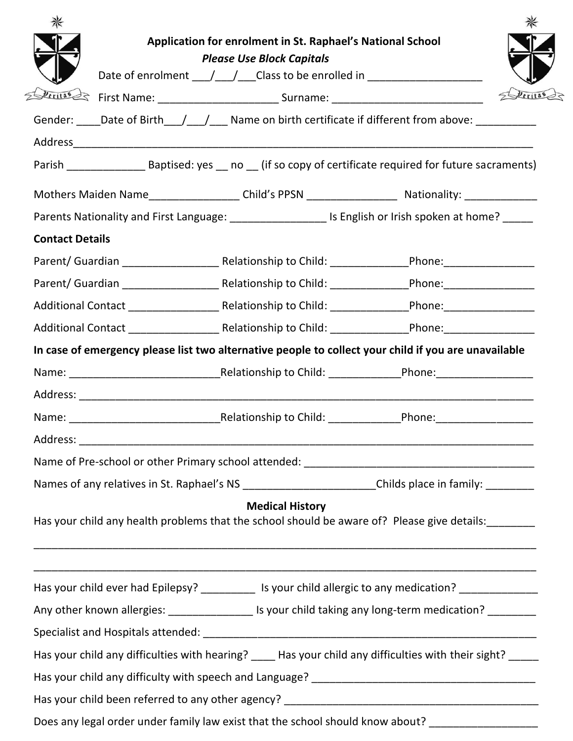|                        | Application for enrolment in St. Raphael's National School                                                                              |         |
|------------------------|-----------------------------------------------------------------------------------------------------------------------------------------|---------|
|                        | <b>Please Use Block Capitals</b><br>Date of enrolment ____/____/___Class to be enrolled in _________________________                    |         |
|                        |                                                                                                                                         | Deritas |
|                        | Gender: Date of Birth / / / Name on birth certificate if different from above:                                                          |         |
|                        |                                                                                                                                         |         |
|                        |                                                                                                                                         |         |
|                        | Mothers Maiden Name_____________________Child's PPSN ___________________________ Nationality: ________________                          |         |
|                        | Parents Nationality and First Language: _______________________ Is English or Irish spoken at home? _____                               |         |
| <b>Contact Details</b> |                                                                                                                                         |         |
|                        |                                                                                                                                         |         |
|                        |                                                                                                                                         |         |
|                        | Additional Contact __________________________________Relationship to Child: _______________________Phone: _____________________________ |         |
|                        | Additional Contact __________________________________Relationship to Child: _______________________Phone: ____________________________  |         |
|                        | In case of emergency please list two alternative people to collect your child if you are unavailable                                    |         |
|                        |                                                                                                                                         |         |
|                        |                                                                                                                                         |         |
|                        |                                                                                                                                         |         |
|                        |                                                                                                                                         |         |
|                        |                                                                                                                                         |         |
|                        | Names of any relatives in St. Raphael's NS ________________________Childs place in family: _________                                    |         |
|                        | <b>Medical History</b><br>Has your child any health problems that the school should be aware of? Please give details:                   |         |
|                        | Has your child ever had Epilepsy? ___________ Is your child allergic to any medication? ____________                                    |         |
|                        | Any other known allergies: ____________________ Is your child taking any long-term medication? _________                                |         |
|                        |                                                                                                                                         |         |
|                        | Has your child any difficulties with hearing? _____ Has your child any difficulties with their sight? _____                             |         |
|                        |                                                                                                                                         |         |
|                        |                                                                                                                                         |         |
|                        | Does any legal order under family law exist that the school should know about? ___________________                                      |         |